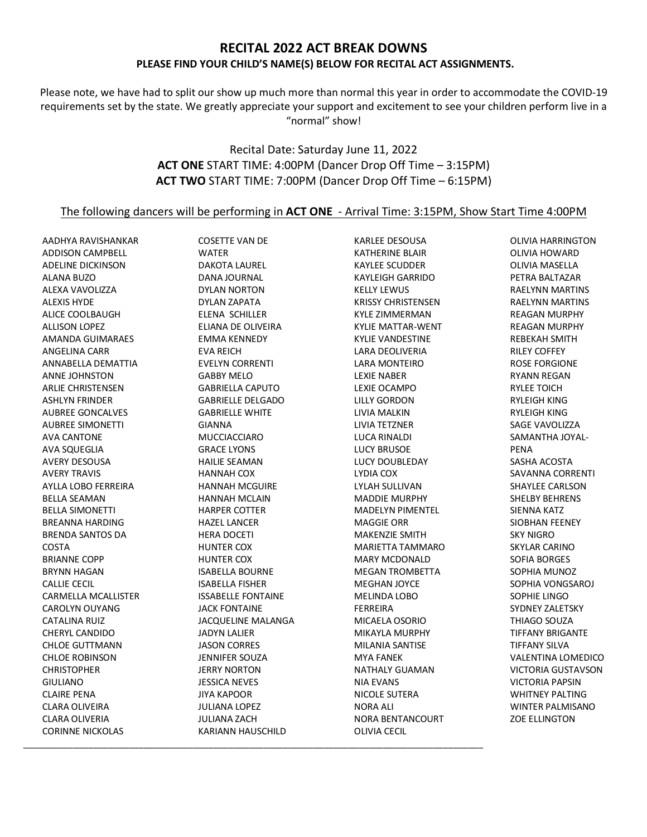## **RECITAL 2022 ACT BREAK DOWNS PLEASE FIND YOUR CHILD'S NAME(S) BELOW FOR RECITAL ACT ASSIGNMENTS.**

Please note, we have had to split our show up much more than normal this year in order to accommodate the COVID-19 requirements set by the state. We greatly appreciate your support and excitement to see your children perform live in a "normal" show!

## Recital Date: Saturday June 11, 2022 **ACT ONE** START TIME: 4:00PM (Dancer Drop Off Time – 3:15PM) **ACT TWO** START TIME: 7:00PM (Dancer Drop Off Time – 6:15PM)

## The following dancers will be performing in **ACT ONE** - Arrival Time: 3:15PM, Show Start Time 4:00PM

AADHYA RAVISHANKAR ADDISON CAMPBELL ADELINE DICKINSON ALANA BUZO ALEXA VAVOLIZZA ALEXIS HYDE ALICE COOLBAUGH ALLISON LOPEZ AMANDA GUIMARAES ANGELINA CARR ANNABELLA DEMATTIA ANNE JOHNSTON ARLIE CHRISTENSEN ASHLYN FRINDER AUBREE GONCALVES AUBREE SIMONETTI AVA CANTONE AVA SQUEGLIA AVERY DESOUSA AVERY TRAVIS AYLLA LOBO FERREIRA BELLA SEAMAN BELLA SIMONETTI BREANNA HARDING BRENDA SANTOS DA COSTA BRIANNE COPP BRYNN HAGAN CALLIE CECIL CARMELLA MCALLISTER CAROLYN OUYANG CATALINA RUIZ CHERYL CANDIDO CHLOE GUTTMANN CHLOE ROBINSON CHRISTOPHER GIULIANO CLAIRE PENA CLARA OLIVEIRA CLARA OLIVERIA CORINNE NICKOLAS \_\_\_\_\_\_\_\_\_\_\_\_\_\_\_\_\_\_\_\_\_\_\_\_\_\_\_\_\_\_\_\_\_\_\_\_\_\_\_\_\_\_\_\_\_\_\_\_\_\_\_\_\_\_\_\_\_\_\_\_\_\_\_\_\_\_\_\_\_\_\_\_\_\_\_\_\_\_\_\_\_\_\_\_\_\_\_\_\_\_\_\_

COSETTE VAN DE WATER DAKOTA LAUREL DANA JOURNAL DYLAN NORTON DYLAN ZAPATA ELENA SCHILLER ELIANA DE OLIVEIRA EMMA KENNEDY EVA REICH EVELYN CORRENTI GABBY MELO GABRIELLA CAPUTO GABRIELLE DELGADO GABRIELLE WHITE GIANNA MUCCIACCIARO GRACE LYONS HAILIE SEAMAN HANNAH COX HANNAH MCGUIRE HANNAH MCLAIN HARPER COTTER HAZEL LANCER HERA DOCETI HUNTER COX HUNTER COX ISABELLA BOURNE ISABELLA FISHER ISSABELLE FONTAINE JACK FONTAINE JACQUELINE MALANGA JADYN LALIER JASON CORRES JENNIFER SOUZA JERRY NORTON JESSICA NEVES JIYA KAPOOR JULIANA LOPEZ JULIANA ZACH KARIANN HAUSCHILD

KARLEE DESOUSA KATHERINE BLAIR KAYLEE SCUDDER KAYLEIGH GARRIDO KELLY LEWUS KRISSY CHRISTENSEN KYLE ZIMMERMAN KYLIE MATTAR-WENT KYLIE VANDESTINE LARA DEOLIVERIA LARA MONTEIRO LEXIE NABER LEXIE OCAMPO LILLY GORDON LIVIA MALKIN LIVIA TETZNER LUCA RINALDI LUCY BRUSOE LUCY DOUBLEDAY LYDIA COX LYLAH SULLIVAN MADDIE MURPHY MADELYN PIMENTEL MAGGIE ORR MAKENZIE SMITH MARIETTA TAMMARO MARY MCDONALD MEGAN TROMBETTA MEGHAN JOYCE MELINDA LOBO FERREIRA MICAELA OSORIO MIKAYLA MURPHY MILANIA SANTISE MYA FANEK NATHALY GUAMAN NIA EVANS NICOLE SUTERA NORA ALI NORA BENTANCOURT OLIVIA CECIL

OLIVIA HARRINGTON OLIVIA HOWARD OLIVIA MASELLA PETRA BALTAZAR RAELYNN MARTINS RAELYNN MARTINS REAGAN MURPHY REAGAN MURPHY REBEKAH SMITH RILEY COFFEY ROSE FORGIONE RYANN REGAN RYLEE TOICH RYLEIGH KING RYLEIGH KING SAGE VAVOLIZZA SAMANTHA JOYAL-PENA SASHA ACOSTA SAVANNA CORRENTI SHAYLEE CARLSON SHELBY BEHRENS SIENNA KATZ SIOBHAN FEENEY SKY NIGRO SKYLAR CARINO SOFIA BORGES SOPHIA MUNOZ SOPHIA VONGSAROJ SOPHIE LINGO SYDNEY ZALETSKY THIAGO SOUZA TIFFANY BRIGANTE TIFFANY SILVA VALENTINA LOMEDICO VICTORIA GUSTAVSON VICTORIA PAPSIN WHITNEY PALTING WINTER PALMISANO ZOE ELLINGTON